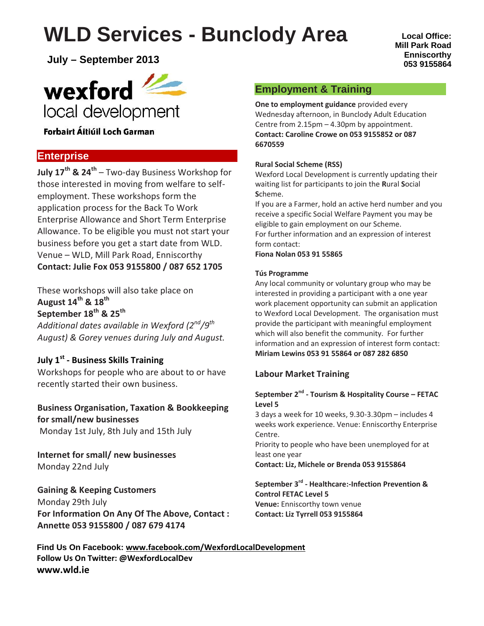# **WLD Services - Bunclody Area**

**July – September 2013**

# wexford local development

## Forbairt Áitiúil Loch Garman

# **Enterprise**

**July 17th & 24th** – Two-day Business Workshop for those interested in moving from welfare to self employment. These workshops form the application process for the Back To Work Enterprise Allowance and Short Term Enterprise Allowance. To be eligible you must not start your business before you get a start date from WLD. Venue – WLD, Mill Park Road, Enniscorthy **Contact: Julie Fox 053 9155800 / 087 652 1705**

These workshops will also take place on **August 14th & 18th September 18th & 25th**

*Additional dates available in Wexford (2nd/9th August) & Gorey venues during July and August.*

# **July 1st - Business Skills Training**

Workshops for people who are about to or have recently started their own business.

#### **Business Organisation, Taxation & Bookkeeping for small/new businesses** Monday 1st July, 8th July and 15th July

**Internet for small/ new businesses** Monday 22nd July

### **Gaining & Keeping Customers** Monday 29th July **For Information On Any Of The Above, Contact : Annette 053 9155800 / 087 679 4174**

# **Employment & Training**

**One to employment guidance** provided every Wednesday afternoon, in Bunclody Adult Education Centre from 2.15pm – 4.30pm by appointment. **Contact: Caroline Crowe on 053 9155852 or 087 6670559**

### **Rural Social Scheme (RSS)**

Wexford Local Development is currently updating their waiting list for participants to join the **R**ural **S**ocial **S**cheme.

If you are a Farmer, hold an active herd number and you receive a specific Social Welfare Payment you may be eligible to gain employment on our Scheme. For further information and an expression of interest form contact:

**Fiona Nolan 053 91 55865**

#### **Tús Programme**

Any local community or voluntary group who may be interested in providing a participant with a one year work placement opportunity can submit an application to Wexford Local Development. The organisation must provide the participant with meaningful employment which will also benefit the community. For further information and an expression of interest form contact: **Miriam Lewins 053 91 55864 or 087 282 6850**

#### **Labour Market Training**

#### **September 2nd - Tourism & Hospitality Course – FETAC Level 5**

3 days a week for 10 weeks, 9.30-3.30pm – includes 4 weeks work experience. Venue: Enniscorthy Enterprise Centre.

Priority to people who have been unemployed for at least one year

**Contact: Liz, Michele or Brenda 053 9155864**

**September 3rd - Healthcare:-Infection Prevention & Control FETAC Level 5 Venue:** Enniscorthy town venue **Contact: Liz Tyrrell 053 9155864**

**Find Us On Facebook: www.facebook.com/WexfordLocalDevelopment Follow Us On Twitter: @WexfordLocalDev www.wld.ie**